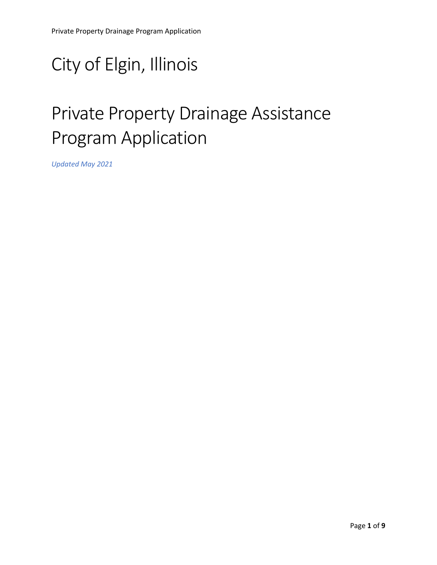# City of Elgin, Illinois

# Private Property Drainage Assistance Program Application

*Updated May 2021*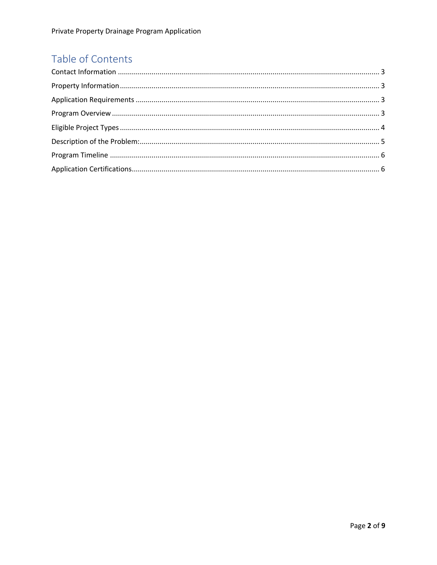## Table of Contents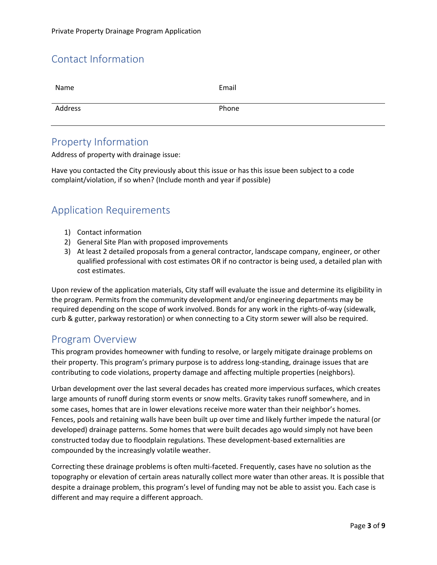## Contact Information

| Name    | Email |
|---------|-------|
| Address | Phone |

#### Property Information

Address of property with drainage issue:

Have you contacted the City previously about this issue or has this issue been subject to a code complaint/violation, if so when? (Include month and year if possible)

### Application Requirements

- 1) Contact information
- 2) General Site Plan with proposed improvements
- 3) At least 2 detailed proposals from a general contractor, landscape company, engineer, or other qualified professional with cost estimates OR if no contractor is being used, a detailed plan with cost estimates.

Upon review of the application materials, City staff will evaluate the issue and determine its eligibility in the program. Permits from the community development and/or engineering departments may be required depending on the scope of work involved. Bonds for any work in the rights-of-way (sidewalk, curb & gutter, parkway restoration) or when connecting to a City storm sewer will also be required.

#### Program Overview

This program provides homeowner with funding to resolve, or largely mitigate drainage problems on their property. This program's primary purpose is to address long-standing, drainage issues that are contributing to code violations, property damage and affecting multiple properties (neighbors).

Urban development over the last several decades has created more impervious surfaces, which creates large amounts of runoff during storm events or snow melts. Gravity takes runoff somewhere, and in some cases, homes that are in lower elevations receive more water than their neighbor's homes. Fences, pools and retaining walls have been built up over time and likely further impede the natural (or developed) drainage patterns. Some homes that were built decades ago would simply not have been constructed today due to floodplain regulations. These development-based externalities are compounded by the increasingly volatile weather.

Correcting these drainage problems is often multi-faceted. Frequently, cases have no solution as the topography or elevation of certain areas naturally collect more water than other areas. It is possible that despite a drainage problem, this program's level of funding may not be able to assist you. Each case is different and may require a different approach.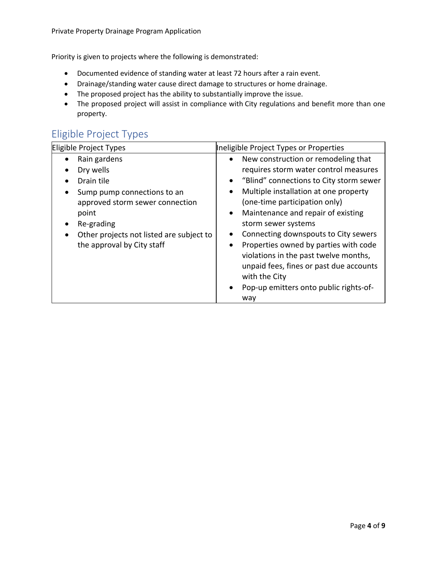Priority is given to projects where the following is demonstrated:

- Documented evidence of standing water at least 72 hours after a rain event.
- Drainage/standing water cause direct damage to structures or home drainage.
- The proposed project has the ability to substantially improve the issue.
- The proposed project will assist in compliance with City regulations and benefit more than one property.

## Eligible Project Types

| Eligible Project Types                                | Ineligible Project Types or Properties               |
|-------------------------------------------------------|------------------------------------------------------|
| Rain gardens                                          | New construction or remodeling that                  |
| Dry wells                                             | requires storm water control measures                |
| Drain tile                                            | "Blind" connections to City storm sewer<br>$\bullet$ |
| Sump pump connections to an                           | Multiple installation at one property<br>$\bullet$   |
| approved storm sewer connection                       | (one-time participation only)                        |
| point                                                 | Maintenance and repair of existing<br>$\bullet$      |
| Re-grading                                            | storm sewer systems                                  |
| Other projects not listed are subject to<br>$\bullet$ | Connecting downspouts to City sewers                 |
| the approval by City staff                            | Properties owned by parties with code<br>$\bullet$   |
|                                                       | violations in the past twelve months,                |
|                                                       | unpaid fees, fines or past due accounts              |
|                                                       | with the City                                        |
|                                                       | Pop-up emitters onto public rights-of-               |
|                                                       | way                                                  |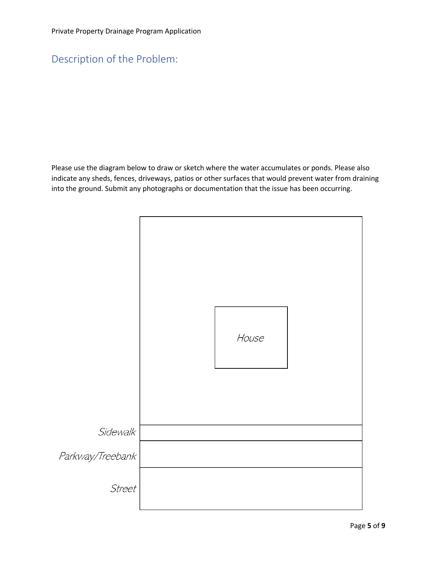## Description of the Problem:

Please use the diagram below to draw or sketch where the water accumulates or ponds. Please also indicate any sheds, fences, driveways, patios or other surfaces that would prevent water from draining into the ground. Submit any photographs or documentation that the issue has been occurring.

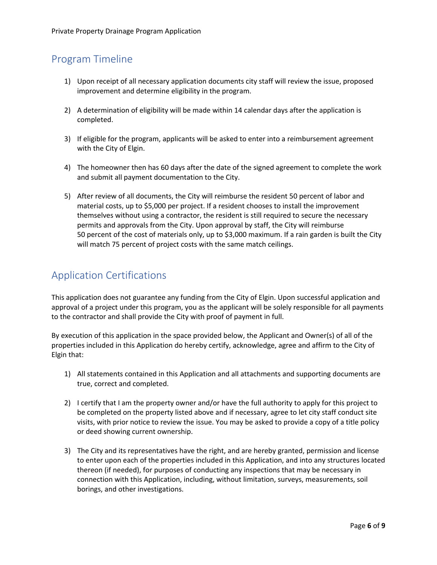## Program Timeline

- 1) Upon receipt of all necessary application documents city staff will review the issue, proposed improvement and determine eligibility in the program.
- 2) A determination of eligibility will be made within 14 calendar days after the application is completed.
- 3) If eligible for the program, applicants will be asked to enter into a reimbursement agreement with the City of Elgin.
- 4) The homeowner then has 60 days after the date of the signed agreement to complete the work and submit all payment documentation to the City.
- 5) After review of all documents, the City will reimburse the resident 50 percent of labor and material costs, up to \$5,000 per project. If a resident chooses to install the improvement themselves without using a contractor, the resident is still required to secure the necessary permits and approvals from the City. Upon approval by staff, the City will reimburse 50 percent of the cost of materials only, up to \$3,000 maximum. If a rain garden is built the City will match 75 percent of project costs with the same match ceilings.

### Application Certifications

This application does not guarantee any funding from the City of Elgin. Upon successful application and approval of a project under this program, you as the applicant will be solely responsible for all payments to the contractor and shall provide the City with proof of payment in full.

By execution of this application in the space provided below, the Applicant and Owner(s) of all of the properties included in this Application do hereby certify, acknowledge, agree and affirm to the City of Elgin that:

- 1) All statements contained in this Application and all attachments and supporting documents are true, correct and completed.
- 2) I certify that I am the property owner and/or have the full authority to apply for this project to be completed on the property listed above and if necessary, agree to let city staff conduct site visits, with prior notice to review the issue. You may be asked to provide a copy of a title policy or deed showing current ownership.
- 3) The City and its representatives have the right, and are hereby granted, permission and license to enter upon each of the properties included in this Application, and into any structures located thereon (if needed), for purposes of conducting any inspections that may be necessary in connection with this Application, including, without limitation, surveys, measurements, soil borings, and other investigations.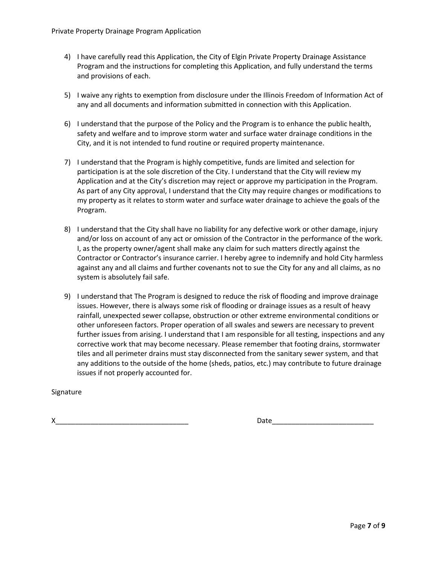- 4) I have carefully read this Application, the City of Elgin Private Property Drainage Assistance Program and the instructions for completing this Application, and fully understand the terms and provisions of each.
- 5) I waive any rights to exemption from disclosure under the Illinois Freedom of Information Act of any and all documents and information submitted in connection with this Application.
- 6) I understand that the purpose of the Policy and the Program is to enhance the public health, safety and welfare and to improve storm water and surface water drainage conditions in the City, and it is not intended to fund routine or required property maintenance.
- 7) I understand that the Program is highly competitive, funds are limited and selection for participation is at the sole discretion of the City. I understand that the City will review my Application and at the City's discretion may reject or approve my participation in the Program. As part of any City approval, I understand that the City may require changes or modifications to my property as it relates to storm water and surface water drainage to achieve the goals of the Program.
- 8) I understand that the City shall have no liability for any defective work or other damage, injury and/or loss on account of any act or omission of the Contractor in the performance of the work. I, as the property owner/agent shall make any claim for such matters directly against the Contractor or Contractor's insurance carrier. I hereby agree to indemnify and hold City harmless against any and all claims and further covenants not to sue the City for any and all claims, as no system is absolutely fail safe.
- 9) I understand that The Program is designed to reduce the risk of flooding and improve drainage issues. However, there is always some risk of flooding or drainage issues as a result of heavy rainfall, unexpected sewer collapse, obstruction or other extreme environmental conditions or other unforeseen factors. Proper operation of all swales and sewers are necessary to prevent further issues from arising. I understand that I am responsible for all testing, inspections and any corrective work that may become necessary. Please remember that footing drains, stormwater tiles and all perimeter drains must stay disconnected from the sanitary sewer system, and that any additions to the outside of the home (sheds, patios, etc.) may contribute to future drainage issues if not properly accounted for.

#### Signature

 $X$  Date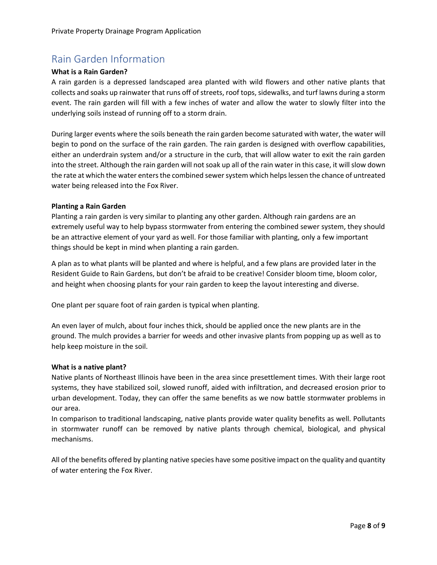#### Rain Garden Information

#### **What is a Rain Garden?**

A rain garden is a depressed landscaped area planted with wild flowers and other native plants that collects and soaks up rainwater that runs off of streets, roof tops, sidewalks, and turf lawns during a storm event. The rain garden will fill with a few inches of water and allow the water to slowly filter into the underlying soils instead of running off to a storm drain.

During larger events where the soils beneath the rain garden become saturated with water, the water will begin to pond on the surface of the rain garden. The rain garden is designed with overflow capabilities, either an underdrain system and/or a structure in the curb, that will allow water to exit the rain garden into the street. Although the rain garden will not soak up all of the rain water in this case, it will slow down the rate at which the water enters the combined sewer system which helps lessen the chance of untreated water being released into the Fox River.

#### **Planting a Rain Garden**

Planting a rain garden is very similar to planting any other garden. Although rain gardens are an extremely useful way to help bypass stormwater from entering the combined sewer system, they should be an attractive element of your yard as well. For those familiar with planting, only a few important things should be kept in mind when planting a rain garden.

A plan as to what plants will be planted and where is helpful, and a few plans are provided later in the Resident Guide to Rain Gardens, but don't be afraid to be creative! Consider bloom time, bloom color, and height when choosing plants for your rain garden to keep the layout interesting and diverse.

One plant per square foot of rain garden is typical when planting.

An even layer of mulch, about four inches thick, should be applied once the new plants are in the ground. The mulch provides a barrier for weeds and other invasive plants from popping up as well as to help keep moisture in the soil.

#### **What is a native plant?**

Native plants of Northeast Illinois have been in the area since presettlement times. With their large root systems, they have stabilized soil, slowed runoff, aided with infiltration, and decreased erosion prior to urban development. Today, they can offer the same benefits as we now battle stormwater problems in our area.

In comparison to traditional landscaping, native plants provide water quality benefits as well. Pollutants in stormwater runoff can be removed by native plants through chemical, biological, and physical mechanisms.

All of the benefits offered by planting native species have some positive impact on the quality and quantity of water entering the Fox River.